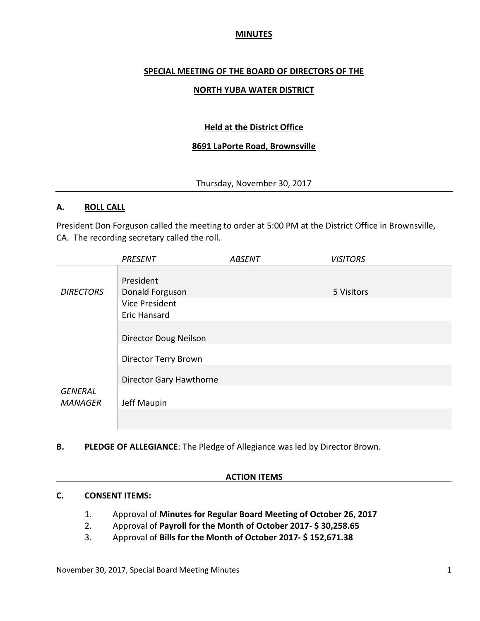### **MINUTES**

### **SPECIAL MEETING OF THE BOARD OF DIRECTORS OF THE**

### **NORTH YUBA WATER DISTRICT**

## **Held at the District Office**

### **8691 LaPorte Road, Brownsville**

Thursday, November 30, 2017

#### **A. ROLL CALL**

President Don Forguson called the meeting to order at 5:00 PM at the District Office in Brownsville, CA. The recording secretary called the roll.

|                  | <b>PRESENT</b>               | <b>ABSENT</b> | <b>VISITORS</b> |
|------------------|------------------------------|---------------|-----------------|
|                  | President                    |               |                 |
| <b>DIRECTORS</b> | Donald Forguson              |               | 5 Visitors      |
|                  | <b>Vice President</b>        |               |                 |
|                  | <b>Eric Hansard</b>          |               |                 |
|                  |                              |               |                 |
|                  | <b>Director Doug Neilson</b> |               |                 |
|                  | Director Terry Brown         |               |                 |
|                  | Director Gary Hawthorne      |               |                 |
| <b>GENERAL</b>   |                              |               |                 |
| <b>MANAGER</b>   | Jeff Maupin                  |               |                 |
|                  |                              |               |                 |

**B. PLEDGE OF ALLEGIANCE**: The Pledge of Allegiance was led by Director Brown.

#### **ACTION ITEMS**

#### **C. CONSENT ITEMS:**

- 1. Approval of **Minutes for Regular Board Meeting of October 26, 2017**
- 2. Approval of **Payroll for the Month of October 2017- \$ 30,258.65**
- 3. Approval of **Bills for the Month of October 2017- \$ 152,671.38**

November 30, 2017, Special Board Meeting Minutes 1 and 1 and 2012 1 and 2014 1 and 2014 1 and 2014 1 and 2014 1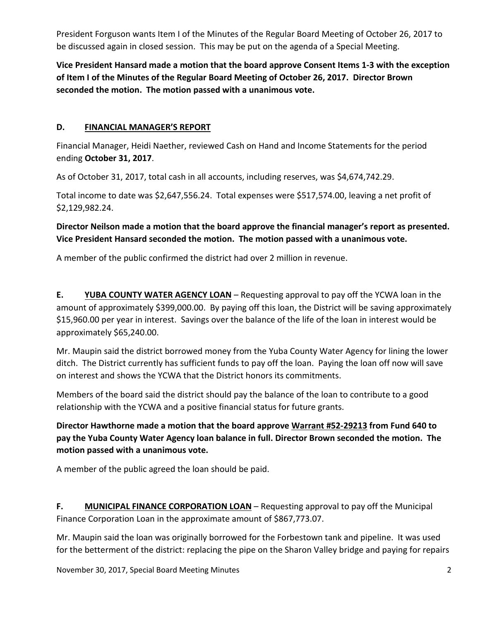President Forguson wants Item I of the Minutes of the Regular Board Meeting of October 26, 2017 to be discussed again in closed session. This may be put on the agenda of a Special Meeting.

**Vice President Hansard made a motion that the board approve Consent Items 1-3 with the exception of Item I of the Minutes of the Regular Board Meeting of October 26, 2017. Director Brown seconded the motion. The motion passed with a unanimous vote.** 

### **D. FINANCIAL MANAGER'S REPORT**

Financial Manager, Heidi Naether, reviewed Cash on Hand and Income Statements for the period ending **October 31, 2017**.

As of October 31, 2017, total cash in all accounts, including reserves, was \$4,674,742.29.

Total income to date was \$2,647,556.24. Total expenses were \$517,574.00, leaving a net profit of \$2,129,982.24.

# **Director Neilson made a motion that the board approve the financial manager's report as presented. Vice President Hansard seconded the motion. The motion passed with a unanimous vote.**

A member of the public confirmed the district had over 2 million in revenue.

**E. YUBA COUNTY WATER AGENCY LOAN** – Requesting approval to pay off the YCWA loan in the amount of approximately \$399,000.00. By paying off this loan, the District will be saving approximately \$15,960.00 per year in interest. Savings over the balance of the life of the loan in interest would be approximately \$65,240.00.

Mr. Maupin said the district borrowed money from the Yuba County Water Agency for lining the lower ditch. The District currently has sufficient funds to pay off the loan. Paying the loan off now will save on interest and shows the YCWA that the District honors its commitments.

Members of the board said the district should pay the balance of the loan to contribute to a good relationship with the YCWA and a positive financial status for future grants.

**Director Hawthorne made a motion that the board approve Warrant #52-29213 from Fund 640 to pay the Yuba County Water Agency loan balance in full. Director Brown seconded the motion. The motion passed with a unanimous vote.** 

A member of the public agreed the loan should be paid.

F. MUNICIPAL FINANCE CORPORATION LOAN - Requesting approval to pay off the Municipal Finance Corporation Loan in the approximate amount of \$867,773.07.

Mr. Maupin said the loan was originally borrowed for the Forbestown tank and pipeline. It was used for the betterment of the district: replacing the pipe on the Sharon Valley bridge and paying for repairs

November 30, 2017, Special Board Meeting Minutes 2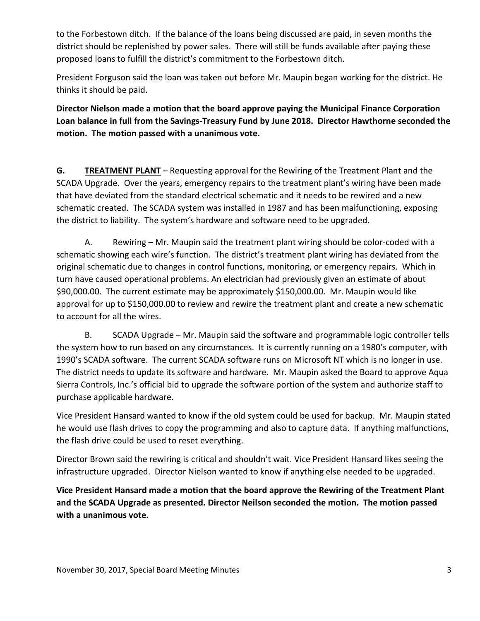to the Forbestown ditch. If the balance of the loans being discussed are paid, in seven months the district should be replenished by power sales. There will still be funds available after paying these proposed loans to fulfill the district's commitment to the Forbestown ditch.

President Forguson said the loan was taken out before Mr. Maupin began working for the district. He thinks it should be paid.

**Director Nielson made a motion that the board approve paying the Municipal Finance Corporation Loan balance in full from the Savings-Treasury Fund by June 2018. Director Hawthorne seconded the motion. The motion passed with a unanimous vote.** 

**G. TREATMENT PLANT** – Requesting approval for the Rewiring of the Treatment Plant and the SCADA Upgrade. Over the years, emergency repairs to the treatment plant's wiring have been made that have deviated from the standard electrical schematic and it needs to be rewired and a new schematic created. The SCADA system was installed in 1987 and has been malfunctioning, exposing the district to liability. The system's hardware and software need to be upgraded.

A. Rewiring – Mr. Maupin said the treatment plant wiring should be color-coded with a schematic showing each wire's function. The district's treatment plant wiring has deviated from the original schematic due to changes in control functions, monitoring, or emergency repairs. Which in turn have caused operational problems. An electrician had previously given an estimate of about \$90,000.00. The current estimate may be approximately \$150,000.00. Mr. Maupin would like approval for up to \$150,000.00 to review and rewire the treatment plant and create a new schematic to account for all the wires.

 B. SCADA Upgrade – Mr. Maupin said the software and programmable logic controller tells the system how to run based on any circumstances. It is currently running on a 1980's computer, with 1990's SCADA software. The current SCADA software runs on Microsoft NT which is no longer in use. The district needs to update its software and hardware. Mr. Maupin asked the Board to approve Aqua Sierra Controls, Inc.'s official bid to upgrade the software portion of the system and authorize staff to purchase applicable hardware.

Vice President Hansard wanted to know if the old system could be used for backup. Mr. Maupin stated he would use flash drives to copy the programming and also to capture data. If anything malfunctions, the flash drive could be used to reset everything.

Director Brown said the rewiring is critical and shouldn't wait. Vice President Hansard likes seeing the infrastructure upgraded. Director Nielson wanted to know if anything else needed to be upgraded.

**Vice President Hansard made a motion that the board approve the Rewiring of the Treatment Plant and the SCADA Upgrade as presented. Director Neilson seconded the motion. The motion passed with a unanimous vote.**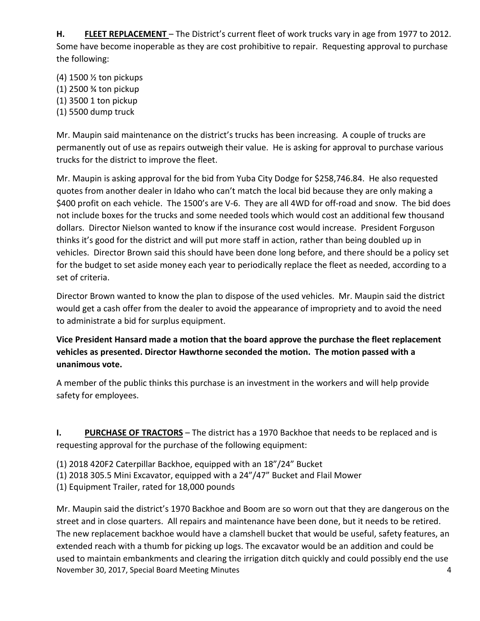**H. FLEET REPLACEMENT** – The District's current fleet of work trucks vary in age from 1977 to 2012. Some have become inoperable as they are cost prohibitive to repair. Requesting approval to purchase the following:

(4) 1500 ½ ton pickups

- (1) 2500 ¾ ton pickup
- (1) 3500 1 ton pickup
- (1) 5500 dump truck

Mr. Maupin said maintenance on the district's trucks has been increasing. A couple of trucks are permanently out of use as repairs outweigh their value. He is asking for approval to purchase various trucks for the district to improve the fleet.

Mr. Maupin is asking approval for the bid from Yuba City Dodge for \$258,746.84. He also requested quotes from another dealer in Idaho who can't match the local bid because they are only making a \$400 profit on each vehicle. The 1500's are V-6. They are all 4WD for off-road and snow. The bid does not include boxes for the trucks and some needed tools which would cost an additional few thousand dollars. Director Nielson wanted to know if the insurance cost would increase. President Forguson thinks it's good for the district and will put more staff in action, rather than being doubled up in vehicles. Director Brown said this should have been done long before, and there should be a policy set for the budget to set aside money each year to periodically replace the fleet as needed, according to a set of criteria.

Director Brown wanted to know the plan to dispose of the used vehicles. Mr. Maupin said the district would get a cash offer from the dealer to avoid the appearance of impropriety and to avoid the need to administrate a bid for surplus equipment.

**Vice President Hansard made a motion that the board approve the purchase the fleet replacement vehicles as presented. Director Hawthorne seconded the motion. The motion passed with a unanimous vote.** 

A member of the public thinks this purchase is an investment in the workers and will help provide safety for employees.

**I.** PURCHASE OF TRACTORS – The district has a 1970 Backhoe that needs to be replaced and is requesting approval for the purchase of the following equipment:

- (1) 2018 420F2 Caterpillar Backhoe, equipped with an 18"/24" Bucket
- (1) 2018 305.5 Mini Excavator, equipped with a 24"/47" Bucket and Flail Mower
- (1) Equipment Trailer, rated for 18,000 pounds

November 30, 2017, Special Board Meeting Minutes 4 Mr. Maupin said the district's 1970 Backhoe and Boom are so worn out that they are dangerous on the street and in close quarters. All repairs and maintenance have been done, but it needs to be retired. The new replacement backhoe would have a clamshell bucket that would be useful, safety features, an extended reach with a thumb for picking up logs. The excavator would be an addition and could be used to maintain embankments and clearing the irrigation ditch quickly and could possibly end the use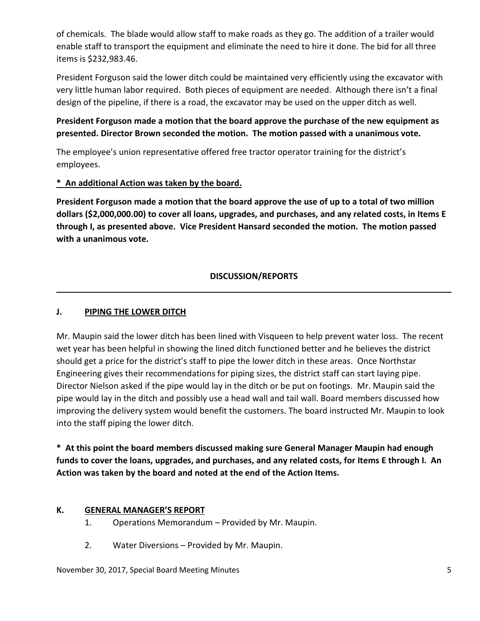of chemicals. The blade would allow staff to make roads as they go. The addition of a trailer would enable staff to transport the equipment and eliminate the need to hire it done. The bid for all three items is \$232,983.46.

President Forguson said the lower ditch could be maintained very efficiently using the excavator with very little human labor required. Both pieces of equipment are needed. Although there isn't a final design of the pipeline, if there is a road, the excavator may be used on the upper ditch as well.

# **President Forguson made a motion that the board approve the purchase of the new equipment as presented. Director Brown seconded the motion. The motion passed with a unanimous vote.**

The employee's union representative offered free tractor operator training for the district's employees.

## **\* An additional Action was taken by the board.**

**President Forguson made a motion that the board approve the use of up to a total of two million dollars (\$2,000,000.00) to cover all loans, upgrades, and purchases, and any related costs, in Items E through I, as presented above. Vice President Hansard seconded the motion. The motion passed with a unanimous vote.**

## **DISCUSSION/REPORTS**

## **J. PIPING THE LOWER DITCH**

Mr. Maupin said the lower ditch has been lined with Visqueen to help prevent water loss. The recent wet year has been helpful in showing the lined ditch functioned better and he believes the district should get a price for the district's staff to pipe the lower ditch in these areas. Once Northstar Engineering gives their recommendations for piping sizes, the district staff can start laying pipe. Director Nielson asked if the pipe would lay in the ditch or be put on footings. Mr. Maupin said the pipe would lay in the ditch and possibly use a head wall and tail wall. Board members discussed how improving the delivery system would benefit the customers. The board instructed Mr. Maupin to look into the staff piping the lower ditch.

**\* At this point the board members discussed making sure General Manager Maupin had enough funds to cover the loans, upgrades, and purchases, and any related costs, for Items E through I. An Action was taken by the board and noted at the end of the Action Items.** 

## **K. GENERAL MANAGER'S REPORT**

- 1. Operations Memorandum Provided by Mr. Maupin.
- 2. Water Diversions Provided by Mr. Maupin.

November 30, 2017, Special Board Meeting Minutes 5